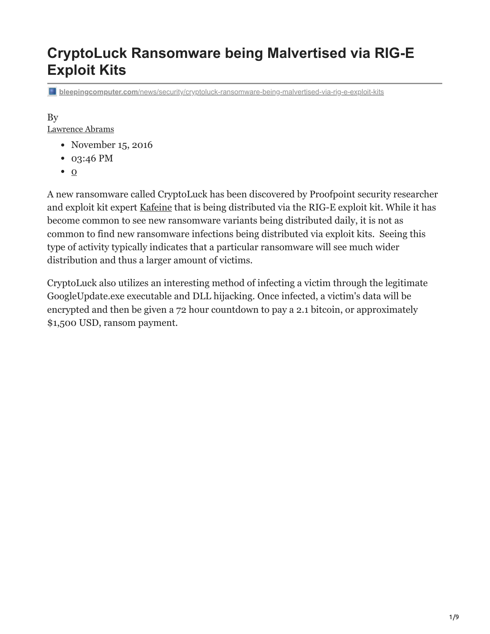# **CryptoLuck Ransomware being Malvertised via RIG-E Exploit Kits**

**bleepingcomputer.com**[/news/security/cryptoluck-ransomware-being-malvertised-via-rig-e-exploit-kits](https://www.bleepingcomputer.com/news/security/cryptoluck-ransomware-being-malvertised-via-rig-e-exploit-kits/)

#### By

[Lawrence Abrams](https://www.bleepingcomputer.com/author/lawrence-abrams/)

- November 15, 2016
- 03:46 PM
- $\bullet$  [0](#page-8-0)

A new ransomware called CryptoLuck has been discovered by Proofpoint security researcher and exploit kit expert [Kafeine](https://twitter.com/kafeine) that is being distributed via the RIG-E exploit kit. While it has become common to see new ransomware variants being distributed daily, it is not as common to find new ransomware infections being distributed via exploit kits. Seeing this type of activity typically indicates that a particular ransomware will see much wider distribution and thus a larger amount of victims.

CryptoLuck also utilizes an interesting method of infecting a victim through the legitimate GoogleUpdate.exe executable and DLL hijacking. Once infected, a victim's data will be encrypted and then be given a 72 hour countdown to pay a 2.1 bitcoin, or approximately \$1,500 USD, ransom payment.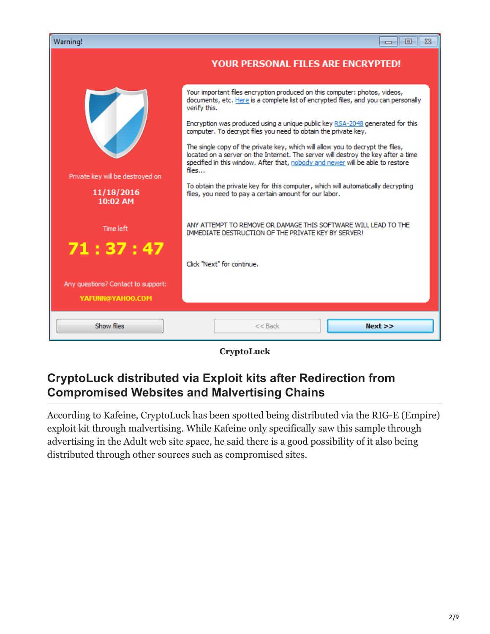| Warning!                                               | <del>o</del> 10<br>$\Sigma$ 3                                                                                                                                                                                                                                  |
|--------------------------------------------------------|----------------------------------------------------------------------------------------------------------------------------------------------------------------------------------------------------------------------------------------------------------------|
|                                                        | <b>YOUR PERSONAL FILES ARE ENCRYPTED!</b>                                                                                                                                                                                                                      |
|                                                        | Your important files encryption produced on this computer: photos, videos,<br>documents, etc. Here is a complete list of encrypted files, and you can personally<br>verify this.                                                                               |
|                                                        | Encryption was produced using a unique public key RSA-2048 generated for this<br>computer. To decrypt files you need to obtain the private key.                                                                                                                |
| Private key will be destroyed on                       | The single copy of the private key, which will allow you to decrypt the files,<br>located on a server on the Internet. The server will destroy the key after a time<br>specified in this window. After that, nobody and newer will be able to restore<br>files |
| 11/18/2016<br>10:02 AM                                 | To obtain the private key for this computer, which will automatically decrypting<br>files, you need to pay a certain amount for our labor.                                                                                                                     |
| Time left                                              | ANY ATTEMPT TO REMOVE OR DAMAGE THIS SOFTWARE WILL LEAD TO THE<br>IMMEDIATE DESTRUCTION OF THE PRIVATE KEY BY SERVER!                                                                                                                                          |
| 71:37:47                                               | Click "Next" for continue.                                                                                                                                                                                                                                     |
| Any questions? Contact to support:<br>YAFUNN@YAHOO.COM |                                                                                                                                                                                                                                                                |
| Show files                                             | Next<br>$<<$ Back                                                                                                                                                                                                                                              |

**CryptoLuck**

## **CryptoLuck distributed via Exploit kits after Redirection from Compromised Websites and Malvertising Chains**

According to Kafeine, CryptoLuck has been spotted being distributed via the RIG-E (Empire) exploit kit through malvertising. While Kafeine only specifically saw this sample through advertising in the Adult web site space, he said there is a good possibility of it also being distributed through other sources such as compromised sites.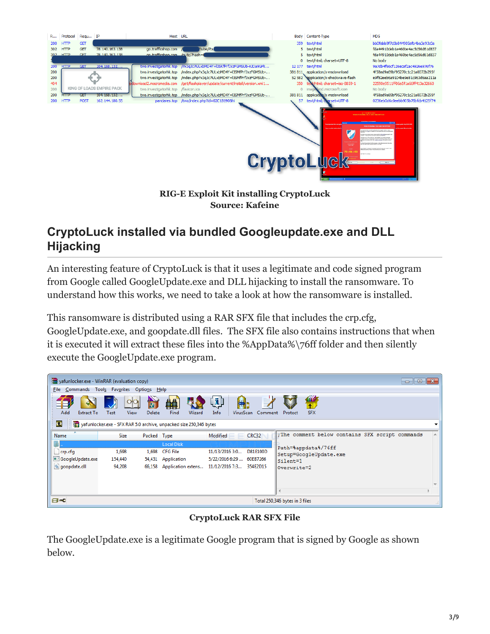

**RIG-E Exploit Kit installing CryptoLuck Source: Kafeine**

## **CryptoLuck installed via bundled Googleupdate.exe and DLL Hijacking**

An interesting feature of CryptoLuck is that it uses a legitimate and code signed program from Google called GoogleUpdate.exe and DLL hijacking to install the ransomware. To understand how this works, we need to take a look at how the ransomware is installed.

This ransomware is distributed using a RAR SFX file that includes the crp.cfg, GoogleUpdate.exe, and goopdate.dll files. The SFX file also contains instructions that when it is executed it will extract these files into the %AppData%\76ff folder and then silently execute the GoogleUpdate.exe program.

| yafunlocker.exe - WinRAR (evaluation copy) |                     |                     |                                                                    |                                               |              | $\begin{array}{c c c c c c} \hline \multicolumn{3}{c }{\mathbf{C}} & \multicolumn{3}{c }{\mathbf{S}} & \multicolumn{3}{c }{\mathbf{X}} \end{array}$ |  |
|--------------------------------------------|---------------------|---------------------|--------------------------------------------------------------------|-----------------------------------------------|--------------|-----------------------------------------------------------------------------------------------------------------------------------------------------|--|
| File Commands                              | Tools<br>Favorites  | <b>Options</b>      | $He$ lp                                                            |                                               |              |                                                                                                                                                     |  |
| 43<br>Add<br><b>Extract To</b>             | View<br><b>Test</b> | <b>SR</b><br>Delete | <b>AA</b><br>Find<br>Wizard                                        | <b>REA</b><br><u>(ת)</u><br>Info<br>VirusScan | Comment      | 660<br><b>SFX</b><br>Protect                                                                                                                        |  |
| œ                                          |                     |                     | vafunlocker.exe - SFX RAR 5.0 archive, unpacked size 250,346 bytes |                                               |              |                                                                                                                                                     |  |
| ×.<br>Name                                 | <b>Size</b>         | Packed Type         |                                                                    | Modified                                      | <b>CRC32</b> | ; The comment below contains SFX script commands                                                                                                    |  |
|                                            |                     |                     | <b>Local Disk</b>                                                  |                                               |              | Path=%appdata%/76ff                                                                                                                                 |  |
| crp.cfg                                    | 1,698               | 1,698               | <b>CFG File</b>                                                    | 11/13/2016 3:0                                | D81E100D     | Setup=GoogleUpdate.exe                                                                                                                              |  |
| GoogleUpdate.exe                           | 154,440             | 54,431              | Application                                                        | 5/22/2016 6:29                                | 60EB7266     | Silent=1                                                                                                                                            |  |
| o qoopdate.dll                             | 94,208              | 66,158              | Application extens                                                 | 11/12/2016 7:3                                | 354E2D15     | Overwrite=2                                                                                                                                         |  |
|                                            |                     |                     |                                                                    |                                               |              |                                                                                                                                                     |  |
| $\Box$<br>Total 250,346 bytes in 3 files   |                     |                     |                                                                    |                                               |              |                                                                                                                                                     |  |

**CryptoLuck RAR SFX File**

The GoogleUpdate.exe is a legitimate Google program that is signed by Google as shown below.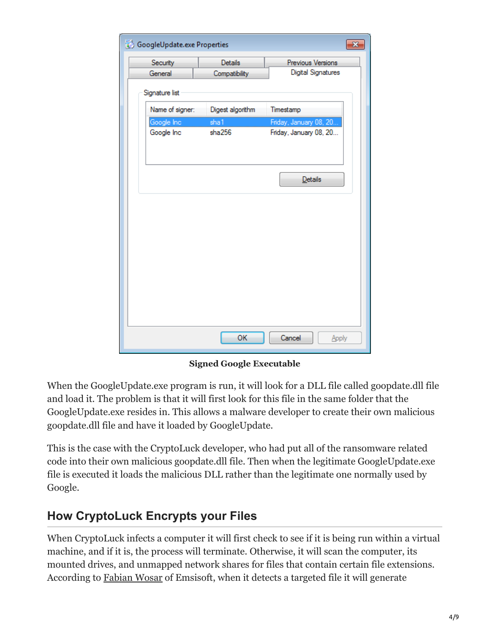| GoogleUpdate.exe Properties<br>× |                  |                           |  |  |  |
|----------------------------------|------------------|---------------------------|--|--|--|
| Security                         | <b>Details</b>   | Previous Versions         |  |  |  |
| General                          | Compatibility    | <b>Digital Signatures</b> |  |  |  |
| Signature list                   |                  |                           |  |  |  |
| Name of signer:                  | Digest algorithm | Timestamp                 |  |  |  |
| Google Inc                       | sha1             | Friday, January 08, 20    |  |  |  |
| Google Inc                       | sha256           | Friday, January 08, 20    |  |  |  |
|                                  |                  |                           |  |  |  |
|                                  |                  | Details                   |  |  |  |
|                                  |                  |                           |  |  |  |
|                                  |                  |                           |  |  |  |
|                                  |                  |                           |  |  |  |
|                                  |                  |                           |  |  |  |
|                                  |                  |                           |  |  |  |
|                                  |                  |                           |  |  |  |
|                                  |                  |                           |  |  |  |
|                                  |                  |                           |  |  |  |
|                                  | OK               | Cancel<br>Apply           |  |  |  |
|                                  |                  |                           |  |  |  |

**Signed Google Executable**

When the GoogleUpdate.exe program is run, it will look for a DLL file called goopdate.dll file and load it. The problem is that it will first look for this file in the same folder that the GoogleUpdate.exe resides in. This allows a malware developer to create their own malicious goopdate.dll file and have it loaded by GoogleUpdate.

This is the case with the CryptoLuck developer, who had put all of the ransomware related code into their own malicious goopdate.dll file. Then when the legitimate GoogleUpdate.exe file is executed it loads the malicious DLL rather than the legitimate one normally used by Google.

## **How CryptoLuck Encrypts your Files**

When CryptoLuck infects a computer it will first check to see if it is being run within a virtual machine, and if it is, the process will terminate. Otherwise, it will scan the computer, its mounted drives, and unmapped network shares for files that contain certain file extensions. According to [Fabian Wosar](https://twitter.com/fwosar) of Emsisoft, when it detects a targeted file it will generate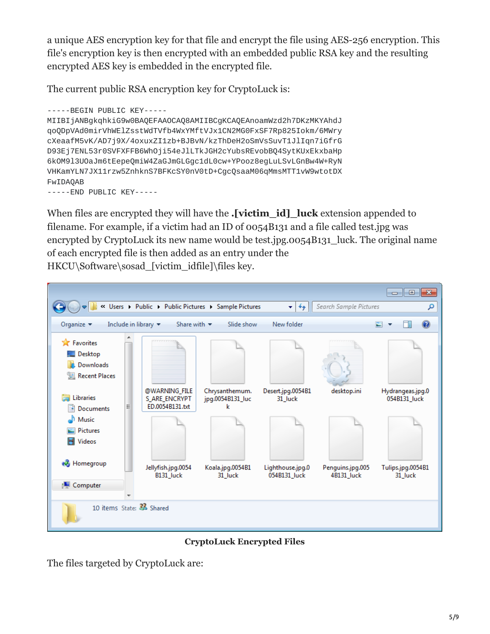a unique AES encryption key for that file and encrypt the file using AES-256 encryption. This file's encryption key is then encrypted with an embedded public RSA key and the resulting encrypted AES key is embedded in the encrypted file.

The current public RSA encryption key for CryptoLuck is:

-----BEGIN PUBLIC KEY----- MIIBIjANBgkqhkiG9w0BAQEFAAOCAQ8AMIIBCgKCAQEAnoamWzd2h7DKzMKYAhdJ qoQDpVAd0mirVhWElZsstWdTVfb4WxYMftVJx1CN2MG0FxSF7Rp825Iokm/6MWry cXeaafM5vK/AD7j9X/4oxuxZI1zb+BJBvN/kzThDeH2oSmVsSuvT1JlIqn7iGfrG D93Ej7ENL53r0SVFXFFB6WhOji54eJlLTkJGH2cYubsREvobBQ4SytKUxEkxbaHp 6kOM9l3UOaJm6tEepeQmiW4ZaGJmGLGgc1dL0cw+YPooz8egLuLSvLGnBw4W+RyN VHKamYLN7JX11rzw5ZnhknS7BFKcSY0nV0tD+CgcQsaaM06qMmsMTT1vW9wtotDX FwIDAQAB -----END PUBLIC KEY-----

When files are encrypted they will have the **.[victim\_id]\_luck** extension appended to filename. For example, if a victim had an ID of 0054B131 and a file called test.jpg was encrypted by CryptoLuck its new name would be test.jpg.0054B131 luck. The original name of each encrypted file is then added as an entry under the HKCU\Software\sosad [victim\_idfile]\files key.



**CryptoLuck Encrypted Files**

The files targeted by CryptoLuck are: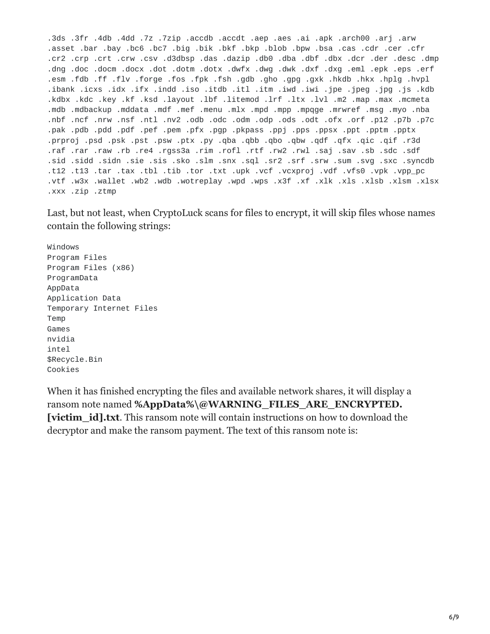.3ds .3fr .4db .4dd .7z .7zip .accdb .accdt .aep .aes .ai .apk .arch00 .arj .arw .asset .bar .bay .bc6 .bc7 .big .bik .bkf .bkp .blob .bpw .bsa .cas .cdr .cer .cfr .cr2 .crp .crt .crw .csv .d3dbsp .das .dazip .db0 .dba .dbf .dbx .dcr .der .desc .dmp .dng .doc .docm .docx .dot .dotm .dotx .dwfx .dwg .dwk .dxf .dxg .eml .epk .eps .erf .esm .fdb .ff .flv .forge .fos .fpk .fsh .gdb .gho .gpg .gxk .hkdb .hkx .hplg .hvpl .ibank .icxs .idx .ifx .indd .iso .itdb .itl .itm .iwd .iwi .jpe .jpeg .jpg .js .kdb .kdbx .kdc .key .kf .ksd .layout .lbf .litemod .lrf .ltx .lvl .m2 .map .max .mcmeta .mdb .mdbackup .mddata .mdf .mef .menu .mlx .mpd .mpp .mpqge .mrwref .msg .myo .nba .nbf .ncf .nrw .nsf .ntl .nv2 .odb .odc .odm .odp .ods .odt .ofx .orf .p12 .p7b .p7c .pak .pdb .pdd .pdf .pef .pem .pfx .pgp .pkpass .ppj .pps .ppsx .ppt .pptm .pptx .prproj .psd .psk .pst .psw .ptx .py .qba .qbb .qbo .qbw .qdf .qfx .qic .qif .r3d .raf .rar .raw .rb .re4 .rgss3a .rim .rofl .rtf .rw2 .rwl .saj .sav .sb .sdc .sdf .sid .sidd .sidn .sie .sis .sko .slm .snx .sql .sr2 .srf .srw .sum .svg .sxc .syncdb .t12 .t13 .tar .tax .tbl .tib .tor .txt .upk .vcf .vcxproj .vdf .vfs0 .vpk .vpp\_pc .vtf .w3x .wallet .wb2 .wdb .wotreplay .wpd .wps .x3f .x1 .xlx .xls .xlsb .xlsm .xlsx .xxx .zip .ztmp

Last, but not least, when CryptoLuck scans for files to encrypt, it will skip files whose names contain the following strings:

Windows Program Files Program Files (x86) ProgramData AppData Application Data Temporary Internet Files Temp Games nvidia intel \$Recycle.Bin Cookies

When it has finished encrypting the files and available network shares, it will display a ransom note named **%AppData%\@WARNING\_FILES\_ARE\_ENCRYPTED. [victim\_id].txt**. This ransom note will contain instructions on how to download the decryptor and make the ransom payment. The text of this ransom note is: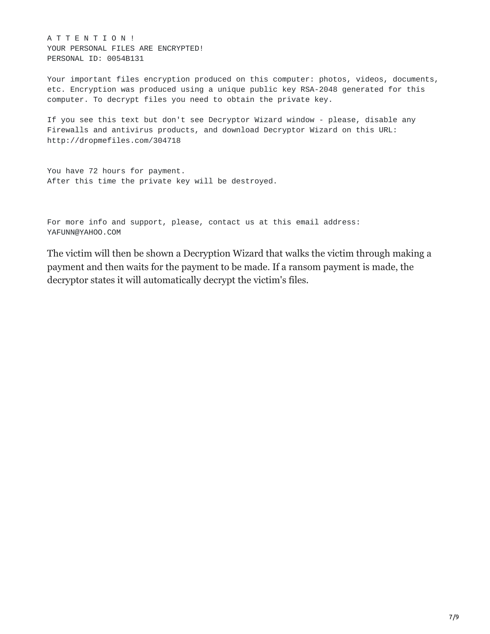A T T E N T I O N ! YOUR PERSONAL FILES ARE ENCRYPTED! PERSONAL ID: 0054B131

Your important files encryption produced on this computer: photos, videos, documents, etc. Encryption was produced using a unique public key RSA-2048 generated for this computer. To decrypt files you need to obtain the private key.

If you see this text but don't see Decryptor Wizard window - please, disable any Firewalls and antivirus products, and download Decryptor Wizard on this URL: http://dropmefiles.com/304718

You have 72 hours for payment. After this time the private key will be destroyed.

For more info and support, please, contact us at this email address: YAFUNN@YAHOO.COM

The victim will then be shown a Decryption Wizard that walks the victim through making a payment and then waits for the payment to be made. If a ransom payment is made, the decryptor states it will automatically decrypt the victim's files.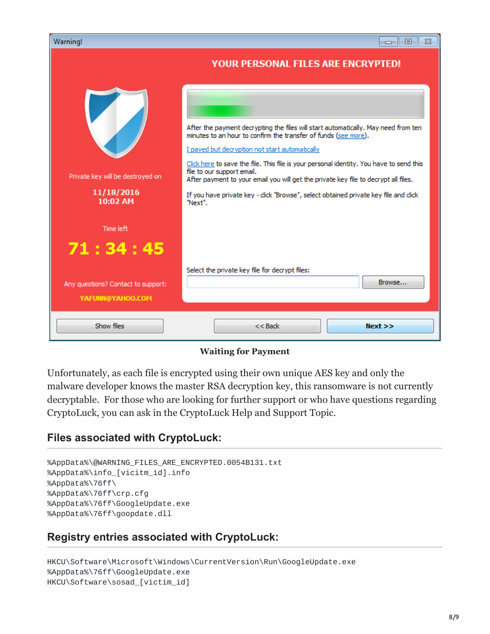| Warning!                                                   | $\Box$ e<br>$\Sigma$                                                                                                                                                                                                                                                                                                                                                                                                                                                                                                       |
|------------------------------------------------------------|----------------------------------------------------------------------------------------------------------------------------------------------------------------------------------------------------------------------------------------------------------------------------------------------------------------------------------------------------------------------------------------------------------------------------------------------------------------------------------------------------------------------------|
|                                                            | <b>YOUR PERSONAL FILES ARE ENCRYPTED!</b>                                                                                                                                                                                                                                                                                                                                                                                                                                                                                  |
| Private key will be destroyed on<br>11/18/2016<br>10:02 AM | After the payment decrypting the files will start automatically. May need from ten<br>minutes to an hour to confirm the transfer of funds (see more).<br>I payed but decryption not start automatically<br>Click here to save the file. This file is your personal identity. You have to send this<br>file to our support email.<br>After payment to your email you will get the private key file to decrypt all files.<br>If you have private key - click "Browse", select obtained private key file and click<br>"Next". |
| Time left                                                  |                                                                                                                                                                                                                                                                                                                                                                                                                                                                                                                            |
| 71:34:45                                                   |                                                                                                                                                                                                                                                                                                                                                                                                                                                                                                                            |
|                                                            | Select the private key file for decrypt files:                                                                                                                                                                                                                                                                                                                                                                                                                                                                             |
| Any questions? Contact to support:<br>YAFUNN@YAHOO.COM     | Browse                                                                                                                                                                                                                                                                                                                                                                                                                                                                                                                     |
| Show files                                                 | $<<$ Back<br>Next                                                                                                                                                                                                                                                                                                                                                                                                                                                                                                          |

#### **Waiting for Payment**

Unfortunately, as each file is encrypted using their own unique AES key and only the malware developer knows the master RSA decryption key, this ransomware is not currently decryptable. For those who are looking for further support or who have questions regarding CryptoLuck, you can ask in the CryptoLuck Help and Support Topic.

### **Files associated with CryptoLuck:**

```
%AppData%\@WARNING_FILES_ARE_ENCRYPTED.0054B131.txt
%AppData%\info_[vicitm_id].info
%AppData%\76ff\
%AppData%\76ff\crp.cfg
%AppData%\76ff\GoogleUpdate.exe
%AppData%\76ff\goopdate.dll
```
### **Registry entries associated with CryptoLuck:**

HKCU\Software\Microsoft\Windows\CurrentVersion\Run\GoogleUpdate.exe %AppData%\76ff\GoogleUpdate.exe HKCU\Software\sosad\_[victim\_id]